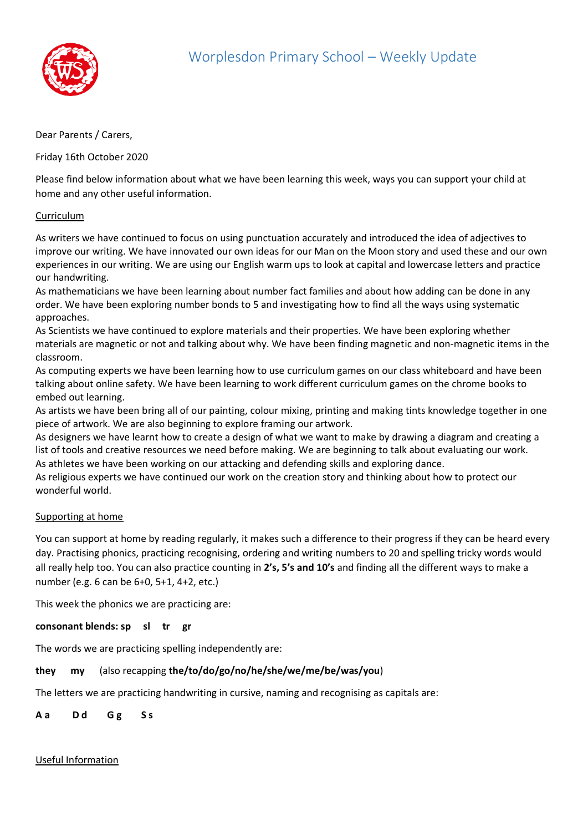

## Dear Parents / Carers,

Friday 16th October 2020

Please find below information about what we have been learning this week, ways you can support your child at home and any other useful information.

## Curriculum

As writers we have continued to focus on using punctuation accurately and introduced the idea of adjectives to improve our writing. We have innovated our own ideas for our Man on the Moon story and used these and our own experiences in our writing. We are using our English warm ups to look at capital and lowercase letters and practice our handwriting.

As mathematicians we have been learning about number fact families and about how adding can be done in any order. We have been exploring number bonds to 5 and investigating how to find all the ways using systematic approaches.

As Scientists we have continued to explore materials and their properties. We have been exploring whether materials are magnetic or not and talking about why. We have been finding magnetic and non-magnetic items in the classroom.

As computing experts we have been learning how to use curriculum games on our class whiteboard and have been talking about online safety. We have been learning to work different curriculum games on the chrome books to embed out learning.

As artists we have been bring all of our painting, colour mixing, printing and making tints knowledge together in one piece of artwork. We are also beginning to explore framing our artwork.

As designers we have learnt how to create a design of what we want to make by drawing a diagram and creating a list of tools and creative resources we need before making. We are beginning to talk about evaluating our work. As athletes we have been working on our attacking and defending skills and exploring dance.

As religious experts we have continued our work on the creation story and thinking about how to protect our wonderful world.

## Supporting at home

You can support at home by reading regularly, it makes such a difference to their progress if they can be heard every day. Practising phonics, practicing recognising, ordering and writing numbers to 20 and spelling tricky words would all really help too. You can also practice counting in **2's, 5's and 10's** and finding all the different ways to make a number (e.g. 6 can be 6+0, 5+1, 4+2, etc.)

This week the phonics we are practicing are:

**consonant blends: sp sl tr gr** 

The words we are practicing spelling independently are:

## **they my** (also recapping **the/to/do/go/no/he/she/we/me/be/was/you**)

The letters we are practicing handwriting in cursive, naming and recognising as capitals are:

A a Dd G g S s

Useful Information